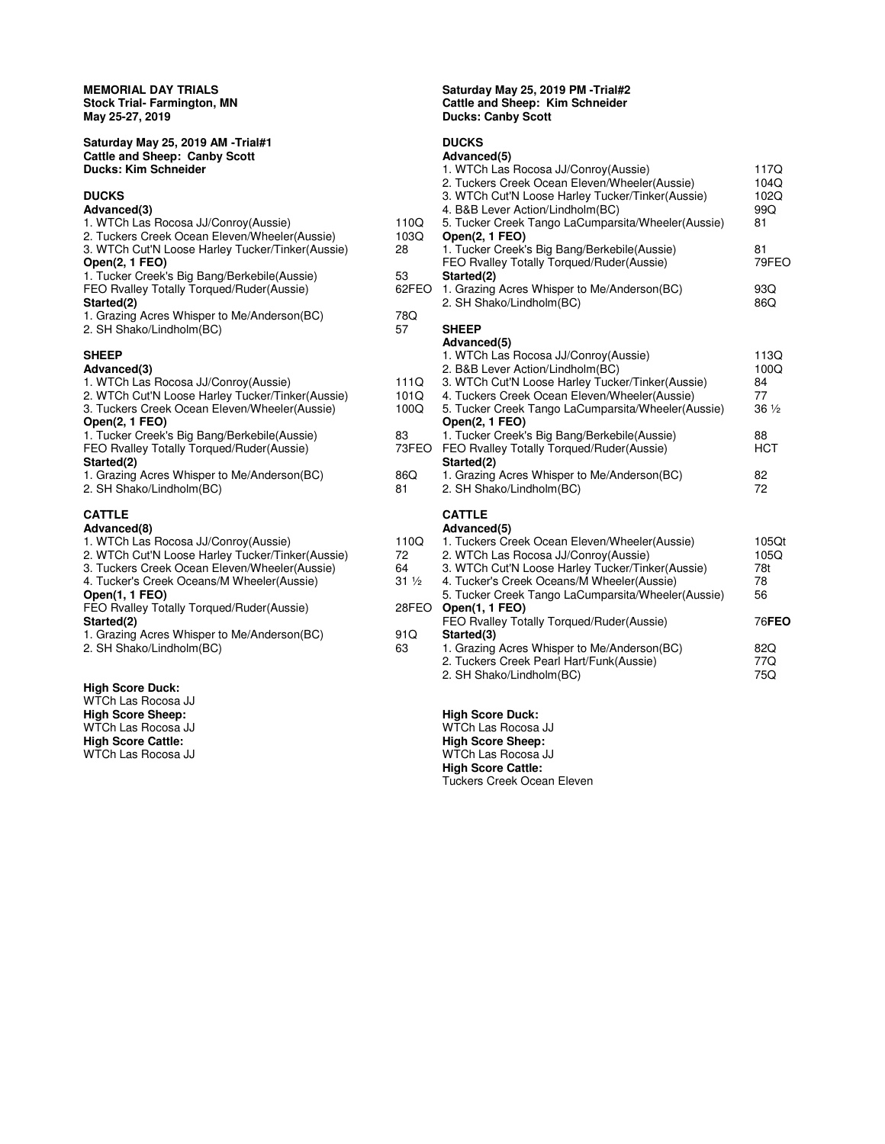#### **Saturday May 25, 2019 AM -Trial#1 Cattle and Sheep: Canby Scott Ducks: Kim Schneider**

#### **DUCKS Advanced(3)** 1. WTCh Las Rocosa JJ/Conroy(Aussie) 110Q<br>2. Tuckers Creek Ocean Eleven/Wheeler(Aussie) 103Q 2. Tuckers Creek Ocean Eleven/Wheeler(Aussie) 103<br>3. WTCh Cut'N Loose Harley Tucker/Tinker(Aussie) 28 3. WTCh Cut'N Loose Harley Tucker/Tinker(Aussie) 28 **Open(2, 1 FEO)** 1. Tucker Creek's Big Bang/Berkebile(Aussie) 53 FEO Rvalley Totally Torqued/Ruder(Aussie) 62FEC **Started(2)** 1. Grazing Acres Whisper to Me/Anderson(BC) 78Q 2. SH Shako/Lindholm(BC) 57 **SHEEP Advanced(3)** 1. WTCh Las Rocosa JJ/Conroy(Aussie) 1110<br>2. WTCh Cut'N Loose Harley Tucker/Tinker(Aussie) 101Q 2. WTCh Cut'N Loose Harley Tucker/Tinker(Aussie) 101Q<br>3. Tuckers Creek Ocean Eleven/Wheeler(Aussie) 100Q 3. Tuckers Creek Ocean Eleven/Wheeler(Aussie) **Open(2, 1 FEO)** 1. Tucker Creek's Big Bang/Berkebile(Aussie) 83<br>FEO Ryalley Totally Torqued/Ruder(Aussie) 83 FEO Rvalley Totally Torqued/Ruder(Aussie) **Started(2)** 1. Grazing Acres Whisper to Me/Anderson(BC) 86Q 2. SH Shako/Lindholm(BC) 81 **CATTLE Advanced(8)** 1. WTCh Las Rocosa JJ/Conroy(Aussie) 110Q<br>2. WTCh Cut'N Loose Harley Tucker/Tinker(Aussie) 22 2. WTCh Cut'N Loose Harley Tucker/Tinker(Aussie) 72<br>3. Tuckers Creek Ocean Eleven/Wheeler(Aussie) 64 3. Tuckers Creek Ocean Eleven/Wheeler(Aussie) 64<br>4. Tucker's Creek Oceans/M Wheeler(Aussie) 31 1/2 4. Tucker's Creek Oceans/M Wheeler(Aussie) **Open(1, 1 FEO)** FEO Rvalley Totally Torqued/Ruder(Aussie) 28FEC **Started(2)**

1. Grazing Acres Whisper to Me/Anderson(BC) 91Q<br>2. SH Shako/Lindholm(BC) 63 2. SH Shako/Lindholm(BC)

**High Score Duck:**  WTCh Las Rocosa JJ **High Score Sheep:**  WTCh Las Rocosa JJ **High Score Cattle:** WTCh Las Rocosa JJ

#### **Saturday May 25, 2019 PM -Trial#2 Cattle and Sheep: Kim Schneider Ducks: Canby Scott**

## **DUCKS**

|   | Advanced(5)                                                                                                                                                                                                                                                     |                                             |
|---|-----------------------------------------------------------------------------------------------------------------------------------------------------------------------------------------------------------------------------------------------------------------|---------------------------------------------|
|   | 1. WTCh Las Rocosa JJ/Conroy(Aussie)<br>2. Tuckers Creek Ocean Eleven/Wheeler(Aussie)<br>3. WTCh Cut'N Loose Harley Tucker/Tinker(Aussie)<br>4. B&B Lever Action/Lindholm(BC)<br>5. Tucker Creek Tango LaCumparsita/Wheeler(Aussie)<br>Open(2, 1 FEO)           | 117Q<br>104Q<br>102Q<br>99Q<br>81           |
|   | 1. Tucker Creek's Big Bang/Berkebile(Aussie)<br>FEO Rvalley Totally Torqued/Ruder(Aussie)<br>Started(2)                                                                                                                                                         | 81<br>79FEO                                 |
| J | 1. Grazing Acres Whisper to Me/Anderson(BC)<br>2. SH Shako/Lindholm(BC)                                                                                                                                                                                         | 93Q<br>86Q                                  |
|   | <b>SHEEP</b><br>Advanced(5)                                                                                                                                                                                                                                     |                                             |
|   | 1. WTCh Las Rocosa JJ/Conroy(Aussie)<br>2. B&B Lever Action/Lindholm(BC)<br>3. WTCh Cut'N Loose Harley Tucker/Tinker(Aussie)<br>4. Tuckers Creek Ocean Eleven/Wheeler(Aussie)<br>5. Tucker Creek Tango LaCumparsita/Wheeler(Aussie)<br>Open(2, 1 FEO)           | 113Q<br>100Q<br>84<br>77<br>$36\frac{1}{2}$ |
| J | 1. Tucker Creek's Big Bang/Berkebile(Aussie)<br>FEO Rvalley Totally Torqued/Ruder(Aussie)<br>Started(2)                                                                                                                                                         | 88<br><b>HCT</b>                            |
|   | 1. Grazing Acres Whisper to Me/Anderson(BC)<br>2. SH Shako/Lindholm(BC)                                                                                                                                                                                         | 82<br>72                                    |
|   | <b>CATTLE</b><br>Advanced(5)                                                                                                                                                                                                                                    |                                             |
| J | 1. Tuckers Creek Ocean Eleven/Wheeler(Aussie)<br>2. WTCh Las Rocosa JJ/Conroy(Aussie)<br>3. WTCh Cut'N Loose Harley Tucker/Tinker(Aussie)<br>4. Tucker's Creek Oceans/M Wheeler(Aussie)<br>5. Tucker Creek Tango LaCumparsita/Wheeler(Aussie)<br>Open(1, 1 FEO) | 105Qt<br>105Q<br>78t<br>78<br>56            |
|   | FEO Rvalley Totally Torqued/Ruder(Aussie)<br>Started(3)                                                                                                                                                                                                         | <b>76FEO</b>                                |
|   | 1 Crazing Agree Whieperto Me/Anderson/DC)                                                                                                                                                                                                                       | ∩∩                                          |

1. Grazing Acres Whisper to Me/Anderson(BC) 82Q<br>2. Tuckers Creek Pearl Hart/Funk(Aussie) 77Q 2. Tuckers Creek Pearl Hart/Funk(Aussie) 770<br>2. SH Shako/Lindholm(BC) 75Q 2. SH Shako/Lindholm(BC)

**High Score Duck:**  WTCh Las Rocosa JJ **High Score Sheep:**  WTCh Las Rocosa JJ **High Score Cattle:** Tuckers Creek Ocean Eleven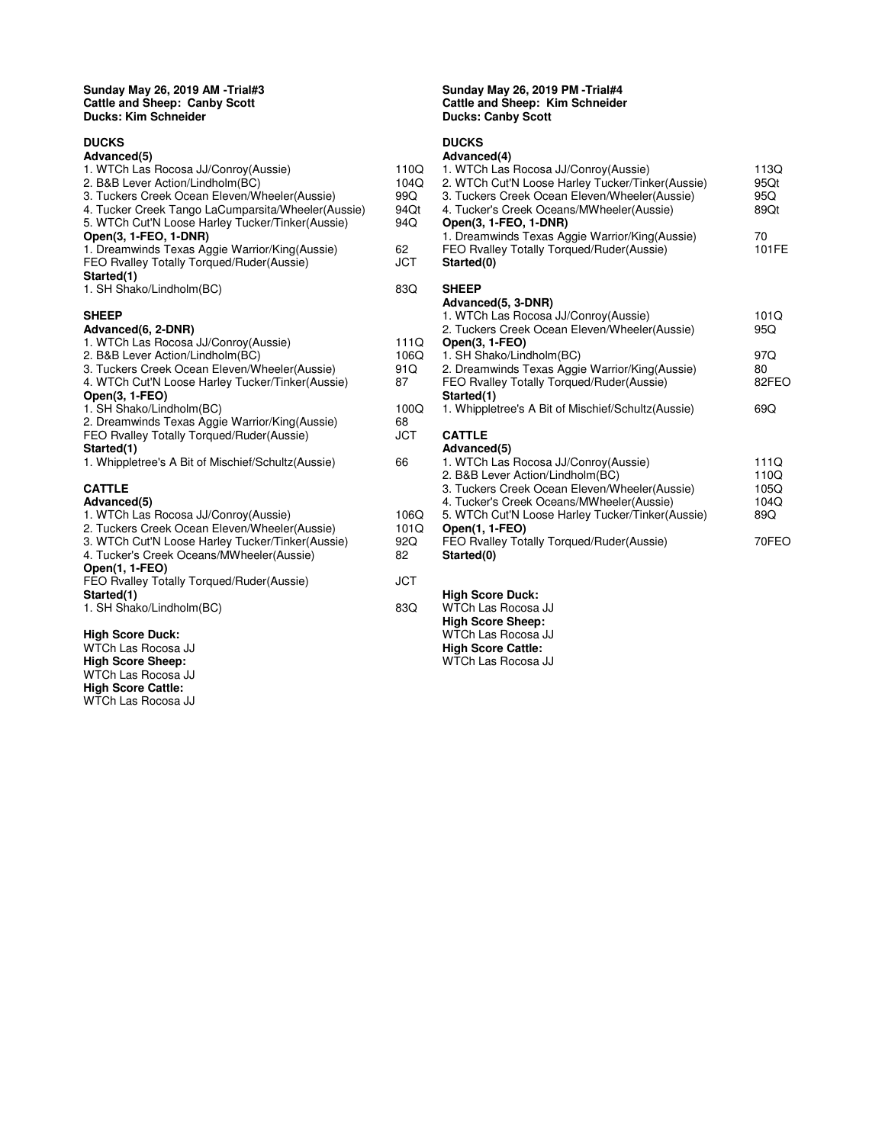#### **Sunday May 26, 2019 AM -Trial#3 Cattle and Sheep: Canby Scott Ducks: Kim Schneider**

| <b>DUCKS</b>                                                                                                                                                                                                                                                                |                                    |
|-----------------------------------------------------------------------------------------------------------------------------------------------------------------------------------------------------------------------------------------------------------------------------|------------------------------------|
| Advanced(5)<br>1. WTCh Las Rocosa JJ/Conroy(Aussie)<br>2. B&B Lever Action/Lindholm(BC)<br>3. Tuckers Creek Ocean Eleven/Wheeler(Aussie)<br>4. Tucker Creek Tango LaCumparsita/Wheeler(Aussie)<br>5. WTCh Cut'N Loose Harley Tucker/Tinker(Aussie)<br>Open(3, 1-FEO, 1-DNR) | 110Q<br>104Q<br>99Q<br>94Qt<br>94Q |
| 1. Dreamwinds Texas Aggie Warrior/King(Aussie)<br>FEO Rvalley Totally Torqued/Ruder(Aussie)<br>Started(1)                                                                                                                                                                   | 62<br><b>JCT</b>                   |
| 1. SH Shako/Lindholm(BC)                                                                                                                                                                                                                                                    | 83Q                                |
| <b>SHEEP</b><br>Advanced(6, 2-DNR)<br>1. WTCh Las Rocosa JJ/Conroy(Aussie)<br>2. B&B Lever Action/Lindholm(BC)<br>3. Tuckers Creek Ocean Eleven/Wheeler(Aussie)<br>4. WTCh Cut'N Loose Harley Tucker/Tinker(Aussie)                                                         | 111Q<br>106Q<br>91Q<br>87          |
| Open(3, 1-FEO)<br>1. SH Shako/Lindholm(BC)<br>2. Dreamwinds Texas Aggie Warrior/King(Aussie)<br>FEO Rvalley Totally Torqued/Ruder(Aussie)<br>Started(1)                                                                                                                     | 100Q<br>68<br>JCT                  |
| 1. Whippletree's A Bit of Mischief/Schultz(Aussie)                                                                                                                                                                                                                          | 66                                 |
| <b>CATTLE</b><br>Advanced(5)<br>1. WTCh Las Rocosa JJ/Conroy(Aussie)<br>2. Tuckers Creek Ocean Eleven/Wheeler(Aussie)<br>3. WTCh Cut'N Loose Harley Tucker/Tinker(Aussie)<br>4. Tucker's Creek Oceans/MWheeler(Aussie)                                                      | 106Q<br>101Q<br>92Q<br>82          |
| Open(1, 1-FEO)<br>FEO Rvalley Totally Torqued/Ruder(Aussie)                                                                                                                                                                                                                 | <b>JCT</b>                         |
| Started(1)<br>1. SH Shako/Lindholm(BC)                                                                                                                                                                                                                                      | 83Q                                |
| <b>High Score Duck:</b>                                                                                                                                                                                                                                                     |                                    |

WTCh Las Rocosa JJ **High Score Sheep:**  WTCh Las Rocosa JJ **High Score Cattle:** WTCh Las Rocosa JJ

#### **Sunday May 26, 2019 PM -Trial#4 Cattle and Sheep: Kim Schneider Ducks: Canby Scott**

### **DUCKS**

| Advanced(4)                                                                                                                                                                            |                             |
|----------------------------------------------------------------------------------------------------------------------------------------------------------------------------------------|-----------------------------|
| 1. WTCh Las Rocosa JJ/Conroy(Aussie)<br>2. WTCh Cut'N Loose Harley Tucker/Tinker(Aussie)<br>3. Tuckers Creek Ocean Eleven/Wheeler(Aussie)<br>4. Tucker's Creek Oceans/MWheeler(Aussie) | 113Q<br>95Qt<br>95Q<br>89Qt |
| Open(3, 1-FEO, 1-DNR)                                                                                                                                                                  |                             |
| 1. Dreamwinds Texas Aggie Warrior/King(Aussie)<br>FEO Rvalley Totally Torqued/Ruder(Aussie)<br>Started(0)                                                                              | 70<br>101FE                 |
| <b>SHEEP</b>                                                                                                                                                                           |                             |
| Advanced(5, 3-DNR)                                                                                                                                                                     |                             |
| 1. WTCh Las Rocosa JJ/Conroy(Aussie)<br>2. Tuckers Creek Ocean Eleven/Wheeler(Aussie)                                                                                                  | 101Q<br>95Q                 |
| Open(3, 1-FEO)                                                                                                                                                                         |                             |
| 1. SH Shako/Lindholm(BC)<br>2. Dreamwinds Texas Aggie Warrior/King(Aussie)<br>FEO Rvalley Totally Torqued/Ruder(Aussie)                                                                | 97Q<br>80<br>82FEO          |
| Started(1)                                                                                                                                                                             |                             |
| 1. Whippletree's A Bit of Mischief/Schultz(Aussie)                                                                                                                                     | 69Q                         |
| <b>CATTLE</b><br>Advanced(5)                                                                                                                                                           |                             |
| 1. WTCh Las Rocosa JJ/Conroy(Aussie)                                                                                                                                                   | 111Q                        |
| 2. B&B Lever Action/Lindholm(BC)                                                                                                                                                       | 110Q                        |
| 3. Tuckers Creek Ocean Eleven/Wheeler(Aussie)                                                                                                                                          | 105Q                        |
| 4. Tucker's Creek Oceans/MWheeler(Aussie)                                                                                                                                              | 104Q                        |
| 5. WTCh Cut'N Loose Harley Tucker/Tinker(Aussie)                                                                                                                                       | 89Q                         |
| Open(1, 1-FEO)                                                                                                                                                                         |                             |
| FEO Rvalley Totally Torqued/Ruder(Aussie)<br>Started(0)                                                                                                                                | 70FEO                       |

**High Score Duck:**  WTCh Las Rocosa JJ **High Score Sheep:**  WTCh Las Rocosa JJ **High Score Cattle:** WTCh Las Rocosa JJ